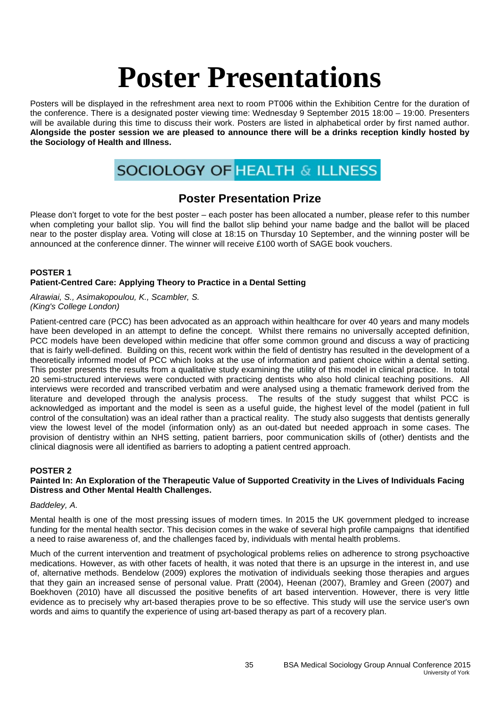Posters will be displayed in the refreshment area next to room PT006 within the Exhibition Centre for the duration of the conference. There is a designated poster viewing time: Wednesday 9 September 2015 18:00 – 19:00. Presenters will be available during this time to discuss their work. Posters are listed in alphabetical order by first named author. **Alongside the poster session we are pleased to announce there will be a drinks reception kindly hosted by the Sociology of Health and Illness.**

# **SOCIOLOGY OF HEALTH & ILLNESS**

# **Poster Presentation Prize**

Please don't forget to vote for the best poster – each poster has been allocated a number, please refer to this number when completing your ballot slip. You will find the ballot slip behind your name badge and the ballot will be placed near to the poster display area. Voting will close at 18:15 on Thursday 10 September, and the winning poster will be announced at the conference dinner. The winner will receive £100 worth of SAGE book vouchers.

#### **POSTER 1 Patient-Centred Care: Applying Theory to Practice in a Dental Setting**

*Alrawiai, S., Asimakopoulou, K., Scambler, S. (King's College London)*

Patient-centred care (PCC) has been advocated as an approach within healthcare for over 40 years and many models have been developed in an attempt to define the concept. Whilst there remains no universally accepted definition, PCC models have been developed within medicine that offer some common ground and discuss a way of practicing that is fairly well-defined. Building on this, recent work within the field of dentistry has resulted in the development of a theoretically informed model of PCC which looks at the use of information and patient choice within a dental setting. This poster presents the results from a qualitative study examining the utility of this model in clinical practice. In total 20 semi-structured interviews were conducted with practicing dentists who also hold clinical teaching positions. All interviews were recorded and transcribed verbatim and were analysed using a thematic framework derived from the literature and developed through the analysis process. The results of the study suggest that whilst PCC is acknowledged as important and the model is seen as a useful guide, the highest level of the model (patient in full control of the consultation) was an ideal rather than a practical reality. The study also suggests that dentists generally view the lowest level of the model (information only) as an out-dated but needed approach in some cases. The provision of dentistry within an NHS setting, patient barriers, poor communication skills of (other) dentists and the clinical diagnosis were all identified as barriers to adopting a patient centred approach.

# **POSTER 2**

# **Painted In: An Exploration of the Therapeutic Value of Supported Creativity in the Lives of Individuals Facing Distress and Other Mental Health Challenges.**

# *Baddeley, A.*

Mental health is one of the most pressing issues of modern times. In 2015 the UK government pledged to increase funding for the mental health sector. This decision comes in the wake of several high profile campaigns that identified a need to raise awareness of, and the challenges faced by, individuals with mental health problems.

Much of the current intervention and treatment of psychological problems relies on adherence to strong psychoactive medications. However, as with other facets of health, it was noted that there is an upsurge in the interest in, and use of, alternative methods. Bendelow (2009) explores the motivation of individuals seeking those therapies and argues that they gain an increased sense of personal value. Pratt (2004), Heenan (2007), Bramley and Green (2007) and Boekhoven (2010) have all discussed the positive benefits of art based intervention. However, there is very little evidence as to precisely why art-based therapies prove to be so effective. This study will use the service user's own words and aims to quantify the experience of using art-based therapy as part of a recovery plan.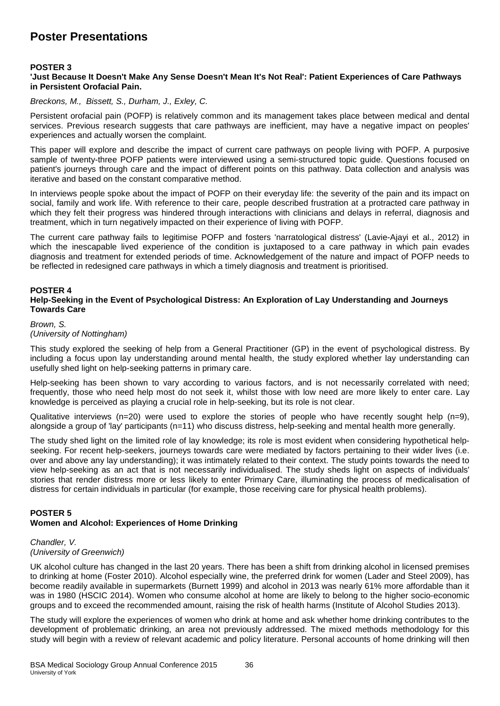# **POSTER 3**

#### **'Just Because It Doesn't Make Any Sense Doesn't Mean It's Not Real': Patient Experiences of Care Pathways in Persistent Orofacial Pain.**

*Breckons, M., Bissett, S., Durham, J., Exley, C.*

Persistent orofacial pain (POFP) is relatively common and its management takes place between medical and dental services. Previous research suggests that care pathways are inefficient, may have a negative impact on peoples' experiences and actually worsen the complaint.

This paper will explore and describe the impact of current care pathways on people living with POFP. A purposive sample of twenty-three POFP patients were interviewed using a semi-structured topic guide. Questions focused on patient's journeys through care and the impact of different points on this pathway. Data collection and analysis was iterative and based on the constant comparative method.

In interviews people spoke about the impact of POFP on their everyday life: the severity of the pain and its impact on social, family and work life. With reference to their care, people described frustration at a protracted care pathway in which they felt their progress was hindered through interactions with clinicians and delays in referral, diagnosis and treatment, which in turn negatively impacted on their experience of living with POFP.

The current care pathway fails to legitimise POFP and fosters 'narratological distress' (Lavie-Ajayi et al., 2012) in which the inescapable lived experience of the condition is juxtaposed to a care pathway in which pain evades diagnosis and treatment for extended periods of time. Acknowledgement of the nature and impact of POFP needs to be reflected in redesigned care pathways in which a timely diagnosis and treatment is prioritised.

#### **POSTER 4**

#### **Help-Seeking in the Event of Psychological Distress: An Exploration of Lay Understanding and Journeys Towards Care**

*Brown, S.*

#### *(University of Nottingham)*

This study explored the seeking of help from a General Practitioner (GP) in the event of psychological distress. By including a focus upon lay understanding around mental health, the study explored whether lay understanding can usefully shed light on help-seeking patterns in primary care.

Help-seeking has been shown to vary according to various factors, and is not necessarily correlated with need; frequently, those who need help most do not seek it, whilst those with low need are more likely to enter care. Lay knowledge is perceived as playing a crucial role in help-seeking, but its role is not clear.

Qualitative interviews (n=20) were used to explore the stories of people who have recently sought help (n=9), alongside a group of 'lay' participants (n=11) who discuss distress, help-seeking and mental health more generally.

The study shed light on the limited role of lay knowledge; its role is most evident when considering hypothetical helpseeking. For recent help-seekers, journeys towards care were mediated by factors pertaining to their wider lives (i.e. over and above any lay understanding); it was intimately related to their context. The study points towards the need to view help-seeking as an act that is not necessarily individualised. The study sheds light on aspects of individuals' stories that render distress more or less likely to enter Primary Care, illuminating the process of medicalisation of distress for certain individuals in particular (for example, those receiving care for physical health problems).

# **POSTER 5**

# **Women and Alcohol: Experiences of Home Drinking**

#### *Chandler, V. (University of Greenwich)*

UK alcohol culture has changed in the last 20 years. There has been a shift from drinking alcohol in licensed premises to drinking at home (Foster 2010). Alcohol especially wine, the preferred drink for women (Lader and Steel 2009), has become readily available in supermarkets (Burnett 1999) and alcohol in 2013 was nearly 61% more affordable than it was in 1980 (HSCIC 2014). Women who consume alcohol at home are likely to belong to the higher socio-economic groups and to exceed the recommended amount, raising the risk of health harms (Institute of Alcohol Studies 2013).

The study will explore the experiences of women who drink at home and ask whether home drinking contributes to the development of problematic drinking, an area not previously addressed. The mixed methods methodology for this study will begin with a review of relevant academic and policy literature. Personal accounts of home drinking will then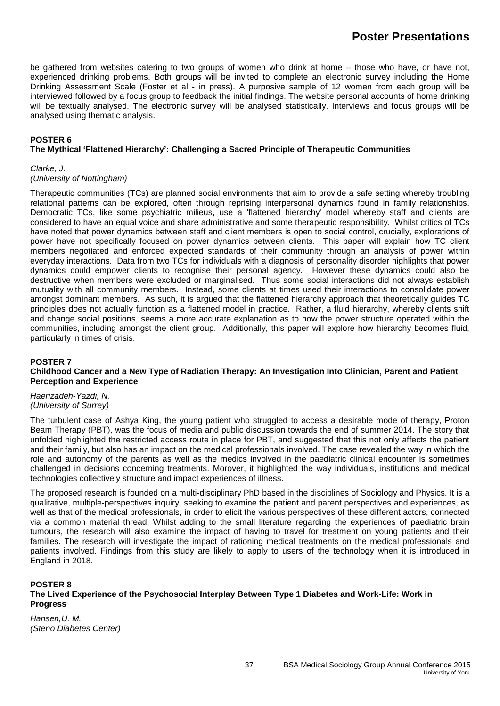be gathered from websites catering to two groups of women who drink at home – those who have, or have not, experienced drinking problems. Both groups will be invited to complete an electronic survey including the Home Drinking Assessment Scale (Foster et al - in press). A purposive sample of 12 women from each group will be interviewed followed by a focus group to feedback the initial findings. The website personal accounts of home drinking will be textually analysed. The electronic survey will be analysed statistically. Interviews and focus groups will be analysed using thematic analysis.

# **POSTER 6**

# **The Mythical 'Flattened Hierarchy': Challenging a Sacred Principle of Therapeutic Communities**

#### *Clarke, J.*

# *(University of Nottingham)*

Therapeutic communities (TCs) are planned social environments that aim to provide a safe setting whereby troubling relational patterns can be explored, often through reprising interpersonal dynamics found in family relationships. Democratic TCs, like some psychiatric milieus, use a 'flattened hierarchy' model whereby staff and clients are considered to have an equal voice and share administrative and some therapeutic responsibility. Whilst critics of TCs have noted that power dynamics between staff and client members is open to social control, crucially, explorations of power have not specifically focused on power dynamics between clients. This paper will explain how TC client members negotiated and enforced expected standards of their community through an analysis of power within everyday interactions. Data from two TCs for individuals with a diagnosis of personality disorder highlights that power dynamics could empower clients to recognise their personal agency. However these dynamics could also be destructive when members were excluded or marginalised. Thus some social interactions did not always establish mutuality with all community members. Instead, some clients at times used their interactions to consolidate power amongst dominant members. As such, it is argued that the flattened hierarchy approach that theoretically guides TC principles does not actually function as a flattened model in practice. Rather, a fluid hierarchy, whereby clients shift and change social positions, seems a more accurate explanation as to how the power structure operated within the communities, including amongst the client group. Additionally, this paper will explore how hierarchy becomes fluid, particularly in times of crisis.

#### **POSTER 7**

#### **Childhood Cancer and a New Type of Radiation Therapy: An Investigation Into Clinician, Parent and Patient Perception and Experience**

*Haerizadeh-Yazdi, N. (University of Surrey)*

The turbulent case of Ashya King, the young patient who struggled to access a desirable mode of therapy, Proton Beam Therapy (PBT), was the focus of media and public discussion towards the end of summer 2014. The story that unfolded highlighted the restricted access route in place for PBT, and suggested that this not only affects the patient and their family, but also has an impact on the medical professionals involved. The case revealed the way in which the role and autonomy of the parents as well as the medics involved in the paediatric clinical encounter is sometimes challenged in decisions concerning treatments. Morover, it highlighted the way individuals, institutions and medical technologies collectively structure and impact experiences of illness.

The proposed research is founded on a multi-disciplinary PhD based in the disciplines of Sociology and Physics. It is a qualitative, multiple-perspectives inquiry, seeking to examine the patient and parent perspectives and experiences, as well as that of the medical professionals, in order to elicit the various perspectives of these different actors, connected via a common material thread. Whilst adding to the small literature regarding the experiences of paediatric brain tumours, the research will also examine the impact of having to travel for treatment on young patients and their families. The research will investigate the impact of rationing medical treatments on the medical professionals and patients involved. Findings from this study are likely to apply to users of the technology when it is introduced in England in 2018.

# **POSTER 8**

#### **The Lived Experience of the Psychosocial Interplay Between Type 1 Diabetes and Work-Life: Work in Progress**

*Hansen,U. M. (Steno Diabetes Center)*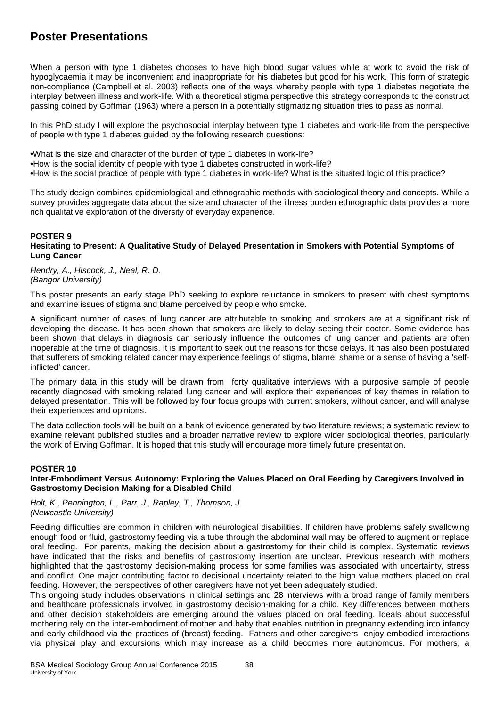When a person with type 1 diabetes chooses to have high blood sugar values while at work to avoid the risk of hypoglycaemia it may be inconvenient and inappropriate for his diabetes but good for his work. This form of strategic non-compliance (Campbell et al. 2003) reflects one of the ways whereby people with type 1 diabetes negotiate the interplay between illness and work-life. With a theoretical stigma perspective this strategy corresponds to the construct passing coined by Goffman (1963) where a person in a potentially stigmatizing situation tries to pass as normal.

In this PhD study I will explore the psychosocial interplay between type 1 diabetes and work-life from the perspective of people with type 1 diabetes guided by the following research questions:

•What is the size and character of the burden of type 1 diabetes in work-life?

•How is the social identity of people with type 1 diabetes constructed in work-life?

•How is the social practice of people with type 1 diabetes in work-life? What is the situated logic of this practice?

The study design combines epidemiological and ethnographic methods with sociological theory and concepts. While a survey provides aggregate data about the size and character of the illness burden ethnographic data provides a more rich qualitative exploration of the diversity of everyday experience.

# **POSTER 9**

#### **Hesitating to Present: A Qualitative Study of Delayed Presentation in Smokers with Potential Symptoms of Lung Cancer**

*Hendry, A., Hiscock, J., Neal, R. D. (Bangor University)*

This poster presents an early stage PhD seeking to explore reluctance in smokers to present with chest symptoms and examine issues of stigma and blame perceived by people who smoke.

A significant number of cases of lung cancer are attributable to smoking and smokers are at a significant risk of developing the disease. It has been shown that smokers are likely to delay seeing their doctor. Some evidence has been shown that delays in diagnosis can seriously influence the outcomes of lung cancer and patients are often inoperable at the time of diagnosis. It is important to seek out the reasons for those delays. It has also been postulated that sufferers of smoking related cancer may experience feelings of stigma, blame, shame or a sense of having a 'selfinflicted' cancer.

The primary data in this study will be drawn from forty qualitative interviews with a purposive sample of people recently diagnosed with smoking related lung cancer and will explore their experiences of key themes in relation to delayed presentation. This will be followed by four focus groups with current smokers, without cancer, and will analyse their experiences and opinions.

The data collection tools will be built on a bank of evidence generated by two literature reviews; a systematic review to examine relevant published studies and a broader narrative review to explore wider sociological theories, particularly the work of Erving Goffman. It is hoped that this study will encourage more timely future presentation.

#### **POSTER 10 Inter-Embodiment Versus Autonomy: Exploring the Values Placed on Oral Feeding by Caregivers Involved in Gastrostomy Decision Making for a Disabled Child**

*Holt, K., Pennington, L., Parr, J., Rapley, T., Thomson, J. (Newcastle University)*

Feeding difficulties are common in children with neurological disabilities. If children have problems safely swallowing enough food or fluid, gastrostomy feeding via a tube through the abdominal wall may be offered to augment or replace oral feeding. For parents, making the decision about a gastrostomy for their child is complex. Systematic reviews have indicated that the risks and benefits of gastrostomy insertion are unclear. Previous research with mothers highlighted that the gastrostomy decision-making process for some families was associated with uncertainty, stress and conflict. One major contributing factor to decisional uncertainty related to the high value mothers placed on oral feeding. However, the perspectives of other caregivers have not yet been adequately studied.

This ongoing study includes observations in clinical settings and 28 interviews with a broad range of family members and healthcare professionals involved in gastrostomy decision-making for a child. Key differences between mothers and other decision stakeholders are emerging around the values placed on oral feeding. Ideals about successful mothering rely on the inter-embodiment of mother and baby that enables nutrition in pregnancy extending into infancy and early childhood via the practices of (breast) feeding. Fathers and other caregivers enjoy embodied interactions via physical play and excursions which may increase as a child becomes more autonomous. For mothers, a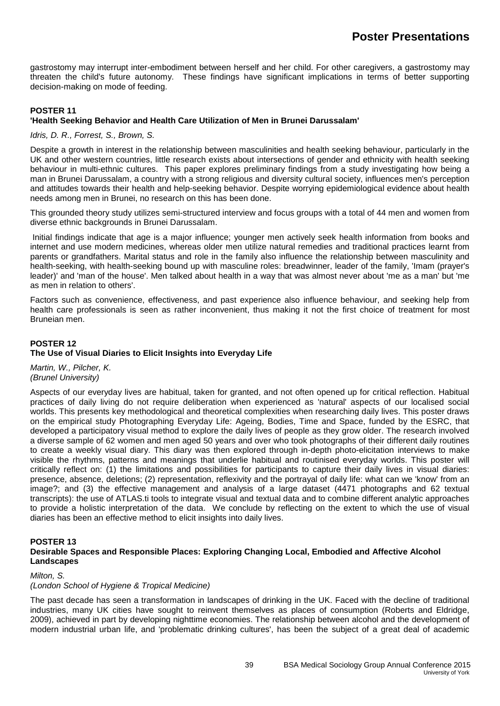gastrostomy may interrupt inter-embodiment between herself and her child. For other caregivers, a gastrostomy may threaten the child's future autonomy. These findings have significant implications in terms of better supporting decision-making on mode of feeding.

# **POSTER 11**

# **'Health Seeking Behavior and Health Care Utilization of Men in Brunei Darussalam'**

# *Idris, D. R., Forrest, S., Brown, S.*

Despite a growth in interest in the relationship between masculinities and health seeking behaviour, particularly in the UK and other western countries, little research exists about intersections of gender and ethnicity with health seeking behaviour in multi-ethnic cultures. This paper explores preliminary findings from a study investigating how being a man in Brunei Darussalam, a country with a strong religious and diversity cultural society, influences men's perception and attitudes towards their health and help-seeking behavior. Despite worrying epidemiological evidence about health needs among men in Brunei, no research on this has been done.

This grounded theory study utilizes semi-structured interview and focus groups with a total of 44 men and women from diverse ethnic backgrounds in Brunei Darussalam.

Initial findings indicate that age is a major influence; younger men actively seek health information from books and internet and use modern medicines, whereas older men utilize natural remedies and traditional practices learnt from parents or grandfathers. Marital status and role in the family also influence the relationship between masculinity and health-seeking, with health-seeking bound up with masculine roles: breadwinner, leader of the family, 'Imam (prayer's leader)' and 'man of the house'. Men talked about health in a way that was almost never about 'me as a man' but 'me as men in relation to others'.

Factors such as convenience, effectiveness, and past experience also influence behaviour, and seeking help from health care professionals is seen as rather inconvenient, thus making it not the first choice of treatment for most Bruneian men.

#### **POSTER 12 The Use of Visual Diaries to Elicit Insights into Everyday Life**

*Martin, W., Pilcher, K. (Brunel University)*

Aspects of our everyday lives are habitual, taken for granted, and not often opened up for critical reflection. Habitual practices of daily living do not require deliberation when experienced as 'natural' aspects of our localised social worlds. This presents key methodological and theoretical complexities when researching daily lives. This poster draws on the empirical study Photographing Everyday Life: Ageing, Bodies, Time and Space, funded by the ESRC, that developed a participatory visual method to explore the daily lives of people as they grow older. The research involved a diverse sample of 62 women and men aged 50 years and over who took photographs of their different daily routines to create a weekly visual diary. This diary was then explored through in-depth photo-elicitation interviews to make visible the rhythms, patterns and meanings that underlie habitual and routinised everyday worlds. This poster will critically reflect on: (1) the limitations and possibilities for participants to capture their daily lives in visual diaries: presence, absence, deletions; (2) representation, reflexivity and the portrayal of daily life: what can we 'know' from an image?; and (3) the effective management and analysis of a large dataset (4471 photographs and 62 textual transcripts): the use of ATLAS.ti tools to integrate visual and textual data and to combine different analytic approaches to provide a holistic interpretation of the data. We conclude by reflecting on the extent to which the use of visual diaries has been an effective method to elicit insights into daily lives.

# **POSTER 13**

#### **Desirable Spaces and Responsible Places: Exploring Changing Local, Embodied and Affective Alcohol Landscapes**

#### *Milton, S.*

#### *(London School of Hygiene & Tropical Medicine)*

The past decade has seen a transformation in landscapes of drinking in the UK. Faced with the decline of traditional industries, many UK cities have sought to reinvent themselves as places of consumption (Roberts and Eldridge, 2009), achieved in part by developing nighttime economies. The relationship between alcohol and the development of modern industrial urban life, and 'problematic drinking cultures', has been the subject of a great deal of academic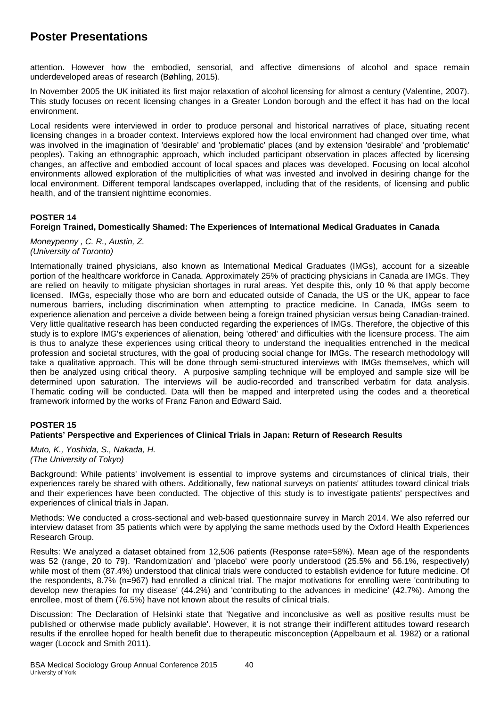attention. However how the embodied, sensorial, and affective dimensions of alcohol and space remain underdeveloped areas of research (Bøhling, 2015).

In November 2005 the UK initiated its first major relaxation of alcohol licensing for almost a century (Valentine, 2007). This study focuses on recent licensing changes in a Greater London borough and the effect it has had on the local environment.

Local residents were interviewed in order to produce personal and historical narratives of place, situating recent licensing changes in a broader context. Interviews explored how the local environment had changed over time, what was involved in the imagination of 'desirable' and 'problematic' places (and by extension 'desirable' and 'problematic' peoples). Taking an ethnographic approach, which included participant observation in places affected by licensing changes, an affective and embodied account of local spaces and places was developed. Focusing on local alcohol environments allowed exploration of the multiplicities of what was invested and involved in desiring change for the local environment. Different temporal landscapes overlapped, including that of the residents, of licensing and public health, and of the transient nighttime economies.

# **POSTER 14**

# **Foreign Trained, Domestically Shamed: The Experiences of International Medical Graduates in Canada**

*Moneypenny , C. R., Austin, Z. (University of Toronto)*

Internationally trained physicians, also known as International Medical Graduates (IMGs), account for a sizeable portion of the healthcare workforce in Canada. Approximately 25% of practicing physicians in Canada are IMGs. They are relied on heavily to mitigate physician shortages in rural areas. Yet despite this, only 10 % that apply become licensed. IMGs, especially those who are born and educated outside of Canada, the US or the UK, appear to face numerous barriers, including discrimination when attempting to practice medicine. In Canada, IMGs seem to experience alienation and perceive a divide between being a foreign trained physician versus being Canadian-trained. Very little qualitative research has been conducted regarding the experiences of IMGs. Therefore, the objective of this study is to explore IMG's experiences of alienation, being 'othered' and difficulties with the licensure process. The aim is thus to analyze these experiences using critical theory to understand the inequalities entrenched in the medical profession and societal structures, with the goal of producing social change for IMGs. The research methodology will take a qualitative approach. This will be done through semi-structured interviews with IMGs themselves, which will then be analyzed using critical theory. A purposive sampling technique will be employed and sample size will be determined upon saturation. The interviews will be audio-recorded and transcribed verbatim for data analysis. Thematic coding will be conducted. Data will then be mapped and interpreted using the codes and a theoretical framework informed by the works of Franz Fanon and Edward Said.

# **POSTER 15**

# **Patients' Perspective and Experiences of Clinical Trials in Japan: Return of Research Results**

*Muto, K., Yoshida, S., Nakada, H. (The University of Tokyo)*

Background: While patients' involvement is essential to improve systems and circumstances of clinical trials, their experiences rarely be shared with others. Additionally, few national surveys on patients' attitudes toward clinical trials and their experiences have been conducted. The objective of this study is to investigate patients' perspectives and experiences of clinical trials in Japan.

Methods: We conducted a cross-sectional and web-based questionnaire survey in March 2014. We also referred our interview dataset from 35 patients which were by applying the same methods used by the Oxford Health Experiences Research Group.

Results: We analyzed a dataset obtained from 12,506 patients (Response rate=58%). Mean age of the respondents was 52 (range, 20 to 79). 'Randomization' and 'placebo' were poorly understood (25.5% and 56.1%, respectively) while most of them (87.4%) understood that clinical trials were conducted to establish evidence for future medicine. Of the respondents, 8.7% (n=967) had enrolled a clinical trial. The major motivations for enrolling were 'contributing to develop new therapies for my disease' (44.2%) and 'contributing to the advances in medicine' (42.7%). Among the enrollee, most of them (76.5%) have not known about the results of clinical trials.

Discussion: The Declaration of Helsinki state that 'Negative and inconclusive as well as positive results must be published or otherwise made publicly available'. However, it is not strange their indifferent attitudes toward research results if the enrollee hoped for health benefit due to therapeutic misconception (Appelbaum et al. 1982) or a rational wager (Locock and Smith 2011).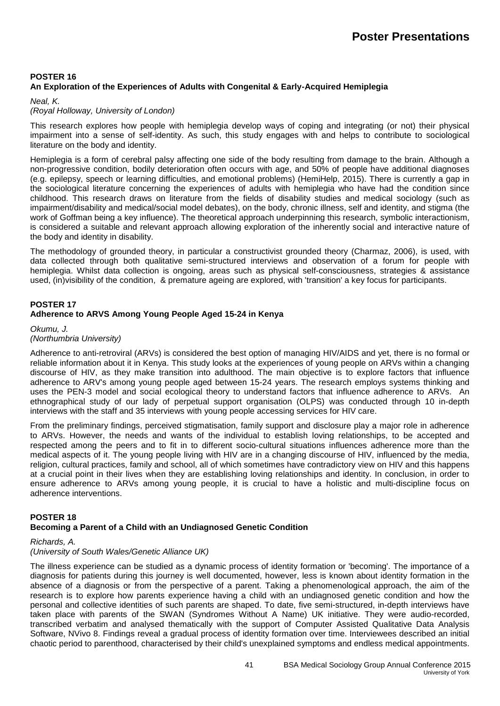# **POSTER 16 An Exploration of the Experiences of Adults with Congenital & Early-Acquired Hemiplegia**

#### *Neal, K.*

## *(Royal Holloway, University of London)*

This research explores how people with hemiplegia develop ways of coping and integrating (or not) their physical impairment into a sense of self-identity. As such, this study engages with and helps to contribute to sociological literature on the body and identity.

Hemiplegia is a form of cerebral palsy affecting one side of the body resulting from damage to the brain. Although a non-progressive condition, bodily deterioration often occurs with age, and 50% of people have additional diagnoses (e.g. epilepsy, speech or learning difficulties, and emotional problems) (HemiHelp, 2015). There is currently a gap in the sociological literature concerning the experiences of adults with hemiplegia who have had the condition since childhood. This research draws on literature from the fields of disability studies and medical sociology (such as impairment/disability and medical/social model debates), on the body, chronic illness, self and identity, and stigma (the work of Goffman being a key influence). The theoretical approach underpinning this research, symbolic interactionism, is considered a suitable and relevant approach allowing exploration of the inherently social and interactive nature of the body and identity in disability.

The methodology of grounded theory, in particular a constructivist grounded theory (Charmaz, 2006), is used, with data collected through both qualitative semi-structured interviews and observation of a forum for people with hemiplegia. Whilst data collection is ongoing, areas such as physical self-consciousness, strategies & assistance used, (in)visibility of the condition, & premature ageing are explored, with 'transition' a key focus for participants.

#### **POSTER 17 Adherence to ARVS Among Young People Aged 15-24 in Kenya**

*Okumu, J. (Northumbria University)*

Adherence to anti-retroviral (ARVs) is considered the best option of managing HIV/AIDS and yet, there is no formal or reliable information about it in Kenya. This study looks at the experiences of young people on ARVs within a changing discourse of HIV, as they make transition into adulthood. The main objective is to explore factors that influence adherence to ARV's among young people aged between 15-24 years. The research employs systems thinking and uses the PEN-3 model and social ecological theory to understand factors that influence adherence to ARVs. An ethnographical study of our lady of perpetual support organisation (OLPS) was conducted through 10 in-depth interviews with the staff and 35 interviews with young people accessing services for HIV care.

From the preliminary findings, perceived stigmatisation, family support and disclosure play a major role in adherence to ARVs. However, the needs and wants of the individual to establish loving relationships, to be accepted and respected among the peers and to fit in to different socio-cultural situations influences adherence more than the medical aspects of it. The young people living with HIV are in a changing discourse of HIV, influenced by the media, religion, cultural practices, family and school, all of which sometimes have contradictory view on HIV and this happens at a crucial point in their lives when they are establishing loving relationships and identity. In conclusion, in order to ensure adherence to ARVs among young people, it is crucial to have a holistic and multi-discipline focus on adherence interventions.

# **POSTER 18**

# **Becoming a Parent of a Child with an Undiagnosed Genetic Condition**

# *Richards, A.*

# *(University of South Wales/Genetic Alliance UK)*

The illness experience can be studied as a dynamic process of identity formation or 'becoming'. The importance of a diagnosis for patients during this journey is well documented, however, less is known about identity formation in the absence of a diagnosis or from the perspective of a parent. Taking a phenomenological approach, the aim of the research is to explore how parents experience having a child with an undiagnosed genetic condition and how the personal and collective identities of such parents are shaped. To date, five semi-structured, in-depth interviews have taken place with parents of the SWAN (Syndromes Without A Name) UK initiative. They were audio-recorded, transcribed verbatim and analysed thematically with the support of Computer Assisted Qualitative Data Analysis Software, NVivo 8. Findings reveal a gradual process of identity formation over time. Interviewees described an initial chaotic period to parenthood, characterised by their child's unexplained symptoms and endless medical appointments.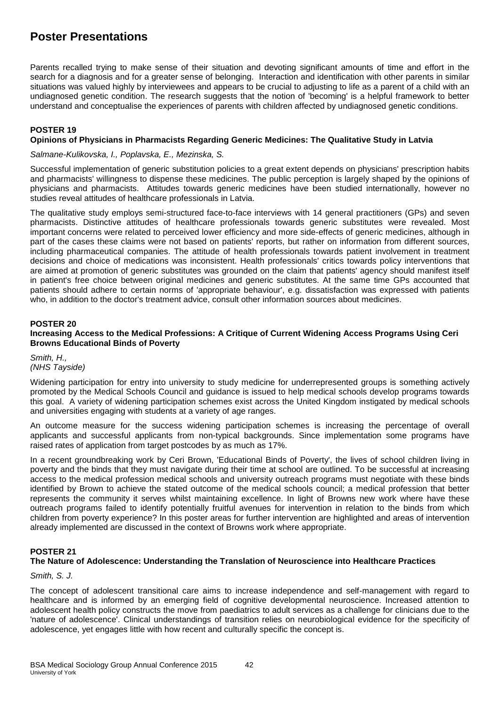Parents recalled trying to make sense of their situation and devoting significant amounts of time and effort in the search for a diagnosis and for a greater sense of belonging. Interaction and identification with other parents in similar situations was valued highly by interviewees and appears to be crucial to adjusting to life as a parent of a child with an undiagnosed genetic condition. The research suggests that the notion of 'becoming' is a helpful framework to better understand and conceptualise the experiences of parents with children affected by undiagnosed genetic conditions.

# **POSTER 19**

## **Opinions of Physicians in Pharmacists Regarding Generic Medicines: The Qualitative Study in Latvia**

*Salmane-Kulikovska, I., Poplavska, E., Mezinska, S.*

Successful implementation of generic substitution policies to a great extent depends on physicians' prescription habits and pharmacists' willingness to dispense these medicines. The public perception is largely shaped by the opinions of physicians and pharmacists. Attitudes towards generic medicines have been studied internationally, however no studies reveal attitudes of healthcare professionals in Latvia.

The qualitative study employs semi-structured face-to-face interviews with 14 general practitioners (GPs) and seven pharmacists. Distinctive attitudes of healthcare professionals towards generic substitutes were revealed. Most important concerns were related to perceived lower efficiency and more side-effects of generic medicines, although in part of the cases these claims were not based on patients' reports, but rather on information from different sources, including pharmaceutical companies. The attitude of health professionals towards patient involvement in treatment decisions and choice of medications was inconsistent. Health professionals' critics towards policy interventions that are aimed at promotion of generic substitutes was grounded on the claim that patients' agency should manifest itself in patient's free choice between original medicines and generic substitutes. At the same time GPs accounted that patients should adhere to certain norms of 'appropriate behaviour', e.g. dissatisfaction was expressed with patients who, in addition to the doctor's treatment advice, consult other information sources about medicines.

#### **POSTER 20**

# **Increasing Access to the Medical Professions: A Critique of Current Widening Access Programs Using Ceri Browns Educational Binds of Poverty**

*Smith, H., (NHS Tayside)*

Widening participation for entry into university to study medicine for underrepresented groups is something actively promoted by the Medical Schools Council and guidance is issued to help medical schools develop programs towards this goal. A variety of widening participation schemes exist across the United Kingdom instigated by medical schools and universities engaging with students at a variety of age ranges.

An outcome measure for the success widening participation schemes is increasing the percentage of overall applicants and successful applicants from non-typical backgrounds. Since implementation some programs have raised rates of application from target postcodes by as much as 17%.

In a recent groundbreaking work by Ceri Brown, 'Educational Binds of Poverty', the lives of school children living in poverty and the binds that they must navigate during their time at school are outlined. To be successful at increasing access to the medical profession medical schools and university outreach programs must negotiate with these binds identified by Brown to achieve the stated outcome of the medical schools council; a medical profession that better represents the community it serves whilst maintaining excellence. In light of Browns new work where have these outreach programs failed to identify potentially fruitful avenues for intervention in relation to the binds from which children from poverty experience? In this poster areas for further intervention are highlighted and areas of intervention already implemented are discussed in the context of Browns work where appropriate.

# **POSTER 21**

#### **The Nature of Adolescence: Understanding the Translation of Neuroscience into Healthcare Practices**

#### *Smith, S. J.*

The concept of adolescent transitional care aims to increase independence and self-management with regard to healthcare and is informed by an emerging field of cognitive developmental neuroscience. Increased attention to adolescent health policy constructs the move from paediatrics to adult services as a challenge for clinicians due to the 'nature of adolescence'. Clinical understandings of transition relies on neurobiological evidence for the specificity of adolescence, yet engages little with how recent and culturally specific the concept is.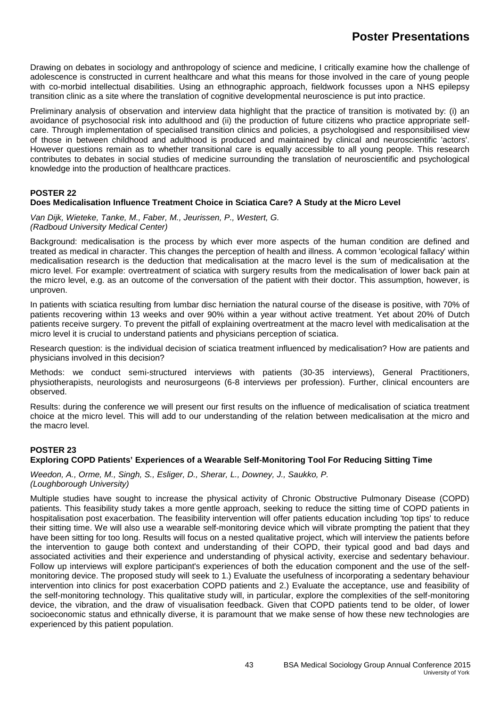Drawing on debates in sociology and anthropology of science and medicine, I critically examine how the challenge of adolescence is constructed in current healthcare and what this means for those involved in the care of young people with co-morbid intellectual disabilities. Using an ethnographic approach, fieldwork focusses upon a NHS epilepsy transition clinic as a site where the translation of cognitive developmental neuroscience is put into practice.

Preliminary analysis of observation and interview data highlight that the practice of transition is motivated by: (i) an avoidance of psychosocial risk into adulthood and (ii) the production of future citizens who practice appropriate selfcare. Through implementation of specialised transition clinics and policies, a psychologised and responsibilised view of those in between childhood and adulthood is produced and maintained by clinical and neuroscientific 'actors'. However questions remain as to whether transitional care is equally accessible to all young people. This research contributes to debates in social studies of medicine surrounding the translation of neuroscientific and psychological knowledge into the production of healthcare practices.

# **POSTER 22**

# **Does Medicalisation Influence Treatment Choice in Sciatica Care? A Study at the Micro Level**

*Van Dijk, Wieteke, Tanke, M., Faber, M., Jeurissen, P., Westert, G. (Radboud University Medical Center)*

Background: medicalisation is the process by which ever more aspects of the human condition are defined and treated as medical in character. This changes the perception of health and illness. A common 'ecological fallacy' within medicalisation research is the deduction that medicalisation at the macro level is the sum of medicalisation at the micro level. For example: overtreatment of sciatica with surgery results from the medicalisation of lower back pain at the micro level, e.g. as an outcome of the conversation of the patient with their doctor. This assumption, however, is unproven.

In patients with sciatica resulting from lumbar disc herniation the natural course of the disease is positive, with 70% of patients recovering within 13 weeks and over 90% within a year without active treatment. Yet about 20% of Dutch patients receive surgery. To prevent the pitfall of explaining overtreatment at the macro level with medicalisation at the micro level it is crucial to understand patients and physicians perception of sciatica.

Research question: is the individual decision of sciatica treatment influenced by medicalisation? How are patients and physicians involved in this decision?

Methods: we conduct semi-structured interviews with patients (30-35 interviews), General Practitioners, physiotherapists, neurologists and neurosurgeons (6-8 interviews per profession). Further, clinical encounters are observed.

Results: during the conference we will present our first results on the influence of medicalisation of sciatica treatment choice at the micro level. This will add to our understanding of the relation between medicalisation at the micro and the macro level.

# **POSTER 23**

# **Exploring COPD Patients' Experiences of a Wearable Self-Monitoring Tool For Reducing Sitting Time**

*Weedon, A., Orme, M., Singh, S., Esliger, D., Sherar, L., Downey, J., Saukko, P. (Loughborough University)*

Multiple studies have sought to increase the physical activity of Chronic Obstructive Pulmonary Disease (COPD) patients. This feasibility study takes a more gentle approach, seeking to reduce the sitting time of COPD patients in hospitalisation post exacerbation. The feasibility intervention will offer patients education including 'top tips' to reduce their sitting time. We will also use a wearable self-monitoring device which will vibrate prompting the patient that they have been sitting for too long. Results will focus on a nested qualitative project, which will interview the patients before the intervention to gauge both context and understanding of their COPD, their typical good and bad days and associated activities and their experience and understanding of physical activity, exercise and sedentary behaviour. Follow up interviews will explore participant's experiences of both the education component and the use of the selfmonitoring device. The proposed study will seek to 1.) Evaluate the usefulness of incorporating a sedentary behaviour intervention into clinics for post exacerbation COPD patients and 2.) Evaluate the acceptance, use and feasibility of the self-monitoring technology. This qualitative study will, in particular, explore the complexities of the self-monitoring device, the vibration, and the draw of visualisation feedback. Given that COPD patients tend to be older, of lower socioeconomic status and ethnically diverse, it is paramount that we make sense of how these new technologies are experienced by this patient population.